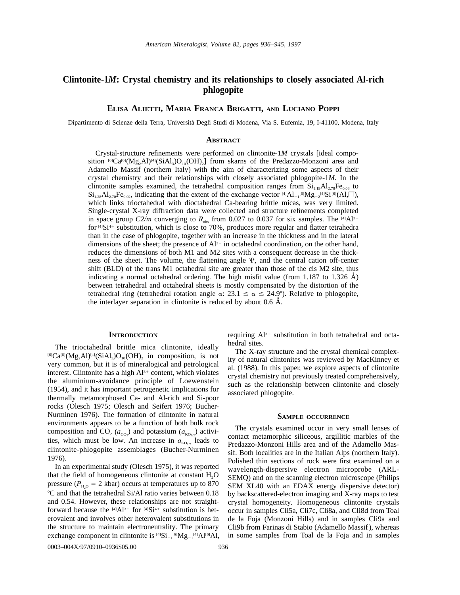# **Clintonite-1***M***: Crystal chemistry and its relationships to closely associated Al-rich phlogopite**

# **ELISA ALIETTI, MARIA FRANCA BRIGATTI, AND LUCIANO POPPI**

Dipartimento di Scienze della Terra, Universita` Degli Studi di Modena, Via S. Eufemia, 19, I-41100, Modena, Italy

## **ABSTRACT**

Crystal-structure refinements were performed on clintonite-1*M* crystals [ideal composition  $^{[6]}Ca^{[6]}(Mg_2Al)^{[4]}(SiAl_3)O_{10}(OH)_2]$  from skarns of the Predazzo-Monzoni area and Adamello Massif (northern Italy) with the aim of characterizing some aspects of their crystal chemistry and their relationships with closely associated phlogopite-1*M.* In the clintonite samples examined, the tetrahedral composition ranges from  $Si<sub>1.19</sub>Al<sub>2.78</sub>Fe<sub>0.03</sub>$  to  $\rm Si_{1.28}Al_{2.70}Fe_{0.02}$ , indicating that the extent of the exchange vector  $^{[4]}Al_{-1}^{[6]}Mg_{-2}^{[4]}Si^{[6]}(Al,\square)$ , which links trioctahedral with dioctahedral Ca-bearing brittle micas, was very limited. Single-crystal X-ray diffraction data were collected and structure refinements completed in space group  $C2/m$  converging to  $R_{obs}$  from 0.027 to 0.037 for six samples. The <sup>[4]</sup>Al<sup>3+</sup> for  $[4!]$ Si<sup>4+</sup> substitution, which is close to 70%, produces more regular and flatter tetrahedra than in the case of phlogopite, together with an increase in the thickness and in the lateral dimensions of the sheet; the presence of  $Al^{3+}$  in octahedral coordination, on the other hand, reduces the dimensions of both M1 and M2 sites with a consequent decrease in the thickness of the sheet. The volume, the flattening angle  $\Psi$ , and the central cation off-center shift (BLD) of the trans M1 octahedral site are greater than those of the cis M2 site, thus indicating a normal octahedral ordering. The high misfit value (from  $1.187$  to  $1.326$  Å) between tetrahedral and octahedral sheets is mostly compensated by the distortion of the tetrahedral ring (tetrahedral rotation angle  $\alpha$ : 23.1  $\leq \alpha \leq 24.9^{\circ}$ ). Relative to phlogopite, the interlayer separation in clintonite is reduced by about  $0.6 \text{ Å}$ .

#### **INTRODUCTION**

The trioctahedral brittle mica clintonite, ideally  $[6]Ca^{[6]}(Mg_2A)^{[4]}(SiAl_3)O_{10}(OH)$ , in composition, is not very common, but it is of mineralogical and petrological interest. Clintonite has a high  $Al^{3+}$  content, which violates the aluminium-avoidance principle of Loewenstein (1954), and it has important petrogenetic implications for thermally metamorphosed Ca- and Al-rich and Si-poor rocks (Olesch 1975; Olesch and Seifert 1976; Bucher-Nurminen 1976). The formation of clintonite in natural environments appears to be a function of both bulk rock composition and CO<sub>2</sub> ( $a_{\text{co}_2}$ ) and potassium ( $a_{\text{KO}_{1/2}}$ ) activities, which must be low. An increase in  $a_{K_0}$  leads to clintonite-phlogopite assemblages (Bucher-Nurminen 1976).

In an experimental study (Olesch 1975), it was reported that the field of homogeneous clintonite at constant  $H_2O$ pressure ( $P_{H_2O}$  = 2 kbar) occurs at temperatures up to 870 8C and that the tetrahedral Si/Al ratio varies between 0.18 and 0.54. However, these relationships are not straightforward because the  $[4]A]^{3+}$  for  $[4]Si^{4+}$  substitution is heterovalent and involves other heterovalent substitutions in the structure to maintain electroneutrality. The primary exchange component in clintonite is  $^{[4]}Si_{-1}^{[6]}Mg_{-1}^{[4]}Al^{[6]}Al$ ,

requiring  $Al^{3+}$  substitution in both tetrahedral and octahedral sites. The X-ray structure and the crystal chemical complex-

ity of natural clintonites was reviewed by MacKinney et al. (1988). In this paper, we explore aspects of clintonite crystal chemistry not previously treated comprehensively, such as the relationship between clintonite and closely associated phlogopite.

### **SAMPLE OCCURRENCE**

The crystals examined occur in very small lenses of contact metamorphic siliceous, argillitic marbles of the Predazzo-Monzoni Hills area and of the Adamello Massif. Both localities are in the Italian Alps (northern Italy). Polished thin sections of rock were first examined on a wavelength-dispersive electron microprobe (ARL-SEMQ) and on the scanning electron microscope (Philips SEM XL40 with an EDAX energy dispersive detector) by backscattered-electron imaging and X-ray maps to test crystal homogeneity. Homogeneous clintonite crystals occur in samples Cli5a, Cli7c, Cli8a, and Cli8d from Toal de la Foja (Monzoni Hills) and in samples Cli9a and Cli9b from Farinas di Stabio (Adamello Massif ), whereas in some samples from Toal de la Foja and in samples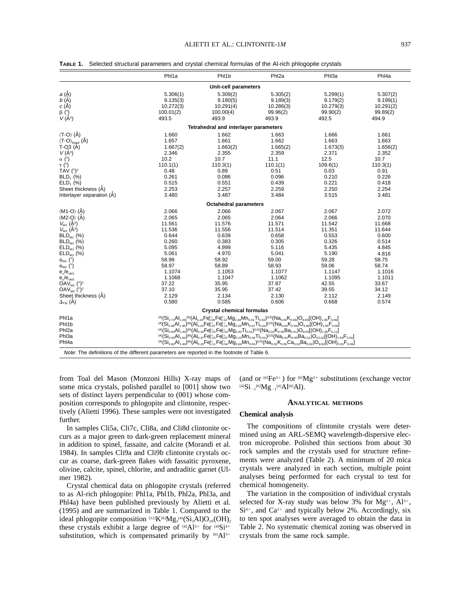|                                                                                            | Phl1a                                                                                                                                                                                                                                                                                                                                              | Phl1b                            | Phl <sub>2a</sub> | Phl3a     | Phl4a     |  |  |  |  |
|--------------------------------------------------------------------------------------------|----------------------------------------------------------------------------------------------------------------------------------------------------------------------------------------------------------------------------------------------------------------------------------------------------------------------------------------------------|----------------------------------|-------------------|-----------|-----------|--|--|--|--|
| Unit-cell parameters                                                                       |                                                                                                                                                                                                                                                                                                                                                    |                                  |                   |           |           |  |  |  |  |
| <i>a</i> (Å)                                                                               | 5.306(1)                                                                                                                                                                                                                                                                                                                                           | 5.309(2)                         | 5.305(2)          | 5.299(1)  | 5.307(2)  |  |  |  |  |
| b(A)                                                                                       | 9.135(3)                                                                                                                                                                                                                                                                                                                                           | 9.180(5)                         | 9.189(3)          | 9.179(2)  | 9.199(1)  |  |  |  |  |
| c(A)                                                                                       | 10.272(3)                                                                                                                                                                                                                                                                                                                                          | 10.291(4)                        | 10.286(3)         | 10.279(3) | 10.291(2) |  |  |  |  |
| $\beta$ ( $\degree$ )                                                                      | 100.01(2)                                                                                                                                                                                                                                                                                                                                          | 100.00(4)                        | 99.96(2)          | 99.90(2)  | 99.89(2)  |  |  |  |  |
| $V(\AA^3)$                                                                                 | 493.5                                                                                                                                                                                                                                                                                                                                              | 493.9                            | 493.9             | 492.5     | 494.9     |  |  |  |  |
| Tetrahedral and interlayer parameters                                                      |                                                                                                                                                                                                                                                                                                                                                    |                                  |                   |           |           |  |  |  |  |
| $\langle T-O \rangle$ (Å)                                                                  | 1.660                                                                                                                                                                                                                                                                                                                                              | 1.662                            | 1.663             | 1.666     | 1.661     |  |  |  |  |
| $\langle T\text{-}O\rangle_\text{bagal}$ $(\text{\AA})$                                    | 1.657                                                                                                                                                                                                                                                                                                                                              | 1.661                            | 1.662             | 1.663     | 1.663     |  |  |  |  |
| $T-O3(A)$                                                                                  | 1.667(2)                                                                                                                                                                                                                                                                                                                                           | 1.663(2)                         | 1.665(2)          | 1.673(3)  | 1.656(2)  |  |  |  |  |
| $V(\AA^3)$                                                                                 | 2.346                                                                                                                                                                                                                                                                                                                                              | 2.355                            | 2.359             | 2.371     | 2.352     |  |  |  |  |
| $\alpha$ (°)                                                                               | 10.2                                                                                                                                                                                                                                                                                                                                               | 10.7                             | 11.1              | 12.5      | 10.7      |  |  |  |  |
| $\tau$ ( $\circ$ )                                                                         | 110.1(1)                                                                                                                                                                                                                                                                                                                                           | 110.3(1)                         | 110.1(1)          | 109.6(1)  | 110.3(1)  |  |  |  |  |
| TAV $(^{\circ})^2$                                                                         | 0.48                                                                                                                                                                                                                                                                                                                                               | 0.89                             | 0.51              | 0.03      | 0.91      |  |  |  |  |
| $BLDT$ (%)                                                                                 | 0.261                                                                                                                                                                                                                                                                                                                                              | 0.086                            | 0.096             | 0.210     | 0.226     |  |  |  |  |
| $ELDT$ (%)                                                                                 | 0.515                                                                                                                                                                                                                                                                                                                                              | 0.551                            | 0.439             | 0.221     | 0.418     |  |  |  |  |
| Sheet thickness (Å)                                                                        | 2.253                                                                                                                                                                                                                                                                                                                                              | 2.257                            | 2.259             | 2.250     | 2.254     |  |  |  |  |
| Interlayer separation (A)                                                                  | 3.480                                                                                                                                                                                                                                                                                                                                              | 3.487                            | 3.484             | 3.515     | 3.481     |  |  |  |  |
|                                                                                            |                                                                                                                                                                                                                                                                                                                                                    | <b>Octahedral parameters</b>     |                   |           |           |  |  |  |  |
| $\langle M1-O \rangle$ (Å)                                                                 | 2.066                                                                                                                                                                                                                                                                                                                                              | 2.066                            | 2.067             | 2.067     | 2.072     |  |  |  |  |
| $\langle M2-O \rangle (\AA)$                                                               | 2.065                                                                                                                                                                                                                                                                                                                                              | 2.065                            | 2.064             | 2.066     | 2.070     |  |  |  |  |
| $V_{M1}$ (A <sup>3</sup> )                                                                 | 11.561                                                                                                                                                                                                                                                                                                                                             | 11.576                           | 11.571            | 11.542    | 11.668    |  |  |  |  |
| $V_{M2} (\AA^3)$                                                                           | 11.536                                                                                                                                                                                                                                                                                                                                             | 11.556                           | 11.514            | 11.351    | 11.644    |  |  |  |  |
| BLD <sub>M1</sub> (%)                                                                      | 0.644                                                                                                                                                                                                                                                                                                                                              | 0.639                            | 0.658             | 0.553     | 0.600     |  |  |  |  |
| $BLD_{M2}$ (%)                                                                             | 0.260                                                                                                                                                                                                                                                                                                                                              | 0.383                            | 0.305             | 0.326     | 0.514     |  |  |  |  |
| $ELD_{M1} (%)$                                                                             | 5.095                                                                                                                                                                                                                                                                                                                                              | 4.999                            | 5.116             | 5.435     | 4.845     |  |  |  |  |
| $ELDM2$ (%)                                                                                | 5.061                                                                                                                                                                                                                                                                                                                                              | 4.970                            | 5.041             | 5.190     | 4.816     |  |  |  |  |
| $\psi_{M1}$ (°)                                                                            | 58.99                                                                                                                                                                                                                                                                                                                                              | 58.92                            | 59.00             | 59.28     | 58.75     |  |  |  |  |
| $\psi_{M2}$ (°)                                                                            | 58.97                                                                                                                                                                                                                                                                                                                                              | 58.89                            | 58.93             | 59.06     | 58.74     |  |  |  |  |
| $e_y/e_{sM1}$                                                                              | 1.1074                                                                                                                                                                                                                                                                                                                                             | 1.1053                           | 1.1077            | 1.1147    | 1.1016    |  |  |  |  |
| $e_{\shortparallel}$ / $e_{\text{SM2}}$                                                    | 1.1068                                                                                                                                                                                                                                                                                                                                             | 1.1047                           | 1.1062            | 1.1095    | 1.1011    |  |  |  |  |
| OAV <sub>M1</sub> ( $\degree$ ) <sup>2</sup>                                               | 37.22                                                                                                                                                                                                                                                                                                                                              | 35.95                            | 37.87             | 42.55     | 33.67     |  |  |  |  |
| OAV <sub>M2</sub> $(^{\circ})^2$                                                           | 37.10                                                                                                                                                                                                                                                                                                                                              | 35.95                            | 37.42             | 39.55     | 34.12     |  |  |  |  |
| Sheet thickness (Å)                                                                        | 2.129                                                                                                                                                                                                                                                                                                                                              | 2.134                            | 2.130             | 2.112     | 2.149     |  |  |  |  |
| $\Delta_{TM}$ (Å)                                                                          | 0.580                                                                                                                                                                                                                                                                                                                                              | 0.585                            | 0.606             | 0.668     | 0.574     |  |  |  |  |
|                                                                                            |                                                                                                                                                                                                                                                                                                                                                    | <b>Crystal chemical formulas</b> |                   |           |           |  |  |  |  |
| Phl1a                                                                                      |                                                                                                                                                                                                                                                                                                                                                    |                                  |                   |           |           |  |  |  |  |
| PhI1b                                                                                      | ${}^{[4]}(Si_{2.74}Al_{1.26)}{}^{[6]}(Al_{0.24}Fe_{0.09}^{3+}Fe_{0.12}^{2+}Mg_{2.48}Mn_{0.01}Ti_{0.02})^{[12]}(Na_{0.04}K_{0.93})O_{9.99}[(OH)_{1.95}F_{0.06}]$<br>$[4] (Si_{2.65}Al_{1.35})^{[6]} (Al_{0.24}^-Fe_{0.7}^{3+}Fe_{0.11}^{2+}Mg_{2.55}Mn_{0.01}^{3+}Ti_{0.02}^{3})^{[12]} (Na_{0.04}^-K_{0.93}^-)O_{9.96}^-[(OH)_{1.95}^-F_{0.09}^-]$ |                                  |                   |           |           |  |  |  |  |
| Phl <sub>2a</sub>                                                                          |                                                                                                                                                                                                                                                                                                                                                    |                                  |                   |           |           |  |  |  |  |
| Phl3a                                                                                      | $^{[4]}(Si_{2.60}Al_{1.40})^{[6]}(Al_{0.18}Fe_{0.15}^{3+}Fe_{0.03}^{2+}Mg_{2.63}Ti_{0.01})^{[12]}(Na_{0.02}K_{0.95}Ba_{0.01})O_{9.93}[(OH)_{1.96}F_{0.11}]$<br>${}^{[4]}(Si_{2.50}Al_{1.50})^{[6]}(Al_{0.47}Fe_{0.15}^{3+}Fe_{0.07}^{2+}Mg_{2.23}Mn_{0.04}Ti_{0.01})^{[12]}(Na_{0.02}K_{0.95}Ba_{0.01})O_{10.02}[(OH)_{1.94}F_{0.04}]$             |                                  |                   |           |           |  |  |  |  |
| Phl4a                                                                                      | $^{[4]}(Si_{2.60}Al_{1.40})^{[6]}(Al_{0.20}Fe_{0.11}^{3+}Fe_{0.04}^{2+}Mg_{2.64}Mn_{0.01})^{[12]}(Na_{0.02}K_{0.90}Ca_{0.02}Ba_{0.02})O_{9.92}[(OH)_{2.02}F_{0.06}]$                                                                                                                                                                               |                                  |                   |           |           |  |  |  |  |
| Note: The definitions of the different parameters are reported in the footnote of Table 6. |                                                                                                                                                                                                                                                                                                                                                    |                                  |                   |           |           |  |  |  |  |

**TABLE 1.** Selected structural parameters and crystal chemical formulas of the Al-rich phlogopite crystals

from Toal del Mason (Monzoni Hills) X-ray maps of some mica crystals, polished parallel to [001] show two sets of distinct layers perpendicular to (001) whose composition corresponds to phlogopite and clintonite, respectively (Alietti 1996). These samples were not investigated further.

In samples Cli5a, Cli7c, Cli8a, and Cli8d clintonite occurs as a major green to dark-green replacement mineral in addition to spinel, fassaite, and calcite (Morandi et al. 1984). In samples Cli9a and Cli9b clintonite crystals occur as coarse, dark-green flakes with fassaitic pyroxene, olivine, calcite, spinel, chlorite, and andraditic garnet (Ulmer 1982).

Crystal chemical data on phlogopite crystals (referred to as Al-rich phlogopite: Phl1a, Phl1b, Phl2a, Phl3a, and Phl4a) have been published previously by Alietti et al. (1995) and are summarized in Table 1. Compared to the ideal phlogopite composition  $^{12}$ <sup>[K]</sup> $^{[6]}Mg_3$ <sup>[4]</sup> $(Si_3Al)O_{10}(OH)_2$ these crystals exhibit a large degree of  $[4]$ Al<sup>3+</sup> for  $[4]$ Si<sup>4+</sup> substitution, which is compensated primarily by  $[6]A]^{3+}$ 

(and or  $^{[6]}Fe^{3+}$ ) for  $^{[6]}Mg^{2+}$  substitutions (exchange vector  $^{[4]}Si_{-1}^{[6]}Mg_{-1}^{[4]}Al^{[6]}Al).$ 

#### **ANALYTICAL METHODS**

### **Chemical analysis**

The compositions of clintonite crystals were determined using an ARL-SEMQ wavelength-dispersive electron microprobe. Polished thin sections from about 30 rock samples and the crystals used for structure refinements were analyzed (Table 2). A minimum of 20 mica crystals were analyzed in each section, multiple point analyses being performed for each crystal to test for chemical homogeneity.

The variation in the composition of individual crystals selected for X-ray study was below 3% for  $Mg^{2+}$ , Al<sup>3+</sup>,  $Si<sup>4+</sup>$ , and Ca<sup>2+</sup> and typically below 2%. Accordingly, six to ten spot analyses were averaged to obtain the data in Table 2. No systematic chemical zoning was observed in crystals from the same rock sample.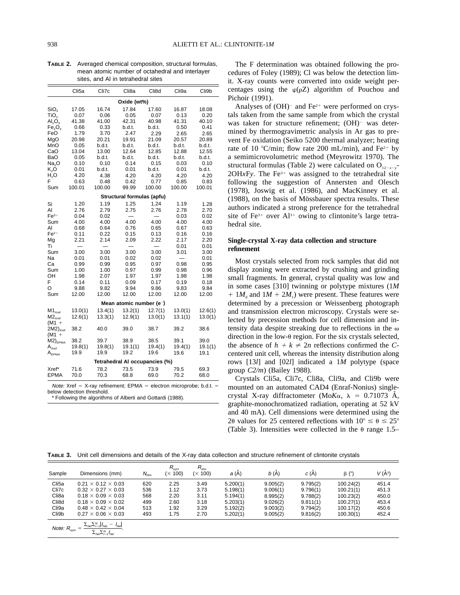**TABLE 2.** Averaged chemical composition, structural formulas, mean atomic number of octahedral and interlayer sites, and Al in tetrahedral sites

|                                      | Cli <sub>5a</sub> | Cli7c    | Cli <sub>8a</sub>          | Cli <sub>8d</sub>        | Cli9a   | Cli9b   |  |  |  |
|--------------------------------------|-------------------|----------|----------------------------|--------------------------|---------|---------|--|--|--|
|                                      |                   |          | Oxide (wt%)                |                          |         |         |  |  |  |
| SiO <sub>2</sub>                     | 17.05             | 16.74    | 17.84                      | 17.60                    | 16.87   | 18.08   |  |  |  |
| TiO <sub>2</sub>                     | 0.07              | 0.06     | 0.05                       | 0.07                     | 0.13    | 0.20    |  |  |  |
| $\mathsf{Al}_2\mathsf{O}_3$          | 41.38             | 41.00    | 42.31                      | 40.98                    | 41.31   | 40.10   |  |  |  |
| $Fe_{2}O_{3}$                        | 0.66              | 0.33     | b.d.t.                     | b.d.t.                   | 0.50    | 0.41    |  |  |  |
| FeO                                  | 1.79              | 3.70     | 2.47                       | 2.29                     | 2.65    | 2.65    |  |  |  |
| MqO                                  | 20.98             | 20.21    | 19.91                      | 21.09                    | 20.57   | 20.89   |  |  |  |
| MnO                                  | 0.05              | b.d.t.   | b.d.t.                     | b.d.t.                   | b.d.t.  | b.d.t.  |  |  |  |
| CaO                                  | 13.04             | 13.00    | 12.64                      | 12.85                    | 12.88   | 12.55   |  |  |  |
| BaO                                  | 0.05              | b.d.t.   | b.d.t.                     | b.d.t.                   | b.d.t.  | b.d.t.  |  |  |  |
| Na <sub>2</sub> O                    | 0.10              | 0.10     | 0.14                       | 0.15                     | 0.03    | 0.10    |  |  |  |
| K,O                                  | 0.01              | b.d.t.   | 0.01                       | b.d.t.                   | 0.01    | b.d.t.  |  |  |  |
| H,O                                  | 4.20              | 4.38     | 4.20                       | 4.20                     | 4.20    | 4.20    |  |  |  |
| F                                    | 0.63              | 0.48     | 0.42                       | 0.77                     | 0.85    | 0.83    |  |  |  |
| Sum                                  | 100.01            | 100.00   | 99.99                      | 100.00                   | 100.00  | 100.01  |  |  |  |
|                                      |                   |          | Structural formulas (apfu) |                          |         |         |  |  |  |
| Si                                   | 1.20              | 1.19     | 1.25                       | 1.24                     | 1.19    | 1.28    |  |  |  |
| Al                                   | 2.76              | 2.79     | 2.75                       | 2.76                     | 2.78    | 2.70    |  |  |  |
| $Fe3+$                               | 0.04              | 0.02     |                            |                          | 0.03    | 0.02    |  |  |  |
| Sum                                  | 4.00              | 4.00     | 4.00                       | 4.00                     | 4.00    | 4.00    |  |  |  |
| Al                                   | 0.68              | 0.64     | 0.76                       | 0.65                     | 0.67    | 0.63    |  |  |  |
| $Fe2+$                               | 0.11              | 0.22     | 0.15                       | 0.13<br>2.22             | 0.16    | 0.16    |  |  |  |
| Ma                                   | 2.21              | 2.14     | 2.09                       |                          | 2.17    | 2.20    |  |  |  |
| Ti                                   |                   | $\equiv$ |                            | $\overline{\phantom{0}}$ | 0.01    | 0.01    |  |  |  |
| Sum                                  | 3.00              | 3.00     | 3.00                       | 3.00                     | 3.01    | 3.00    |  |  |  |
| Na                                   | 0.01              | 0.01     | 0.02                       | 0.02                     |         | 0.01    |  |  |  |
| Сa                                   | 0.99              | 0.99     | 0.95                       | 0.97                     | 0.98    | 0.95    |  |  |  |
| Sum                                  | 1.00              | 1.00     | 0.97                       | 0.99                     | 0.98    | 0.96    |  |  |  |
| OН                                   | 1.98              | 2.07     | 1.97                       | 1.97                     | 1.98    | 1.98    |  |  |  |
| F                                    | 0.14              | 0.11     | 0.09                       | 0.17                     | 0.19    | 0.18    |  |  |  |
| O                                    | 9.88              | 9.82     | 9.94                       | 9.86                     | 9.83    | 9.84    |  |  |  |
| Sum                                  | 12.00             | 12.00    | 12.00                      | 12.00                    | 12.00   | 12.00   |  |  |  |
| Mean atomic number (e <sup>-</sup> ) |                   |          |                            |                          |         |         |  |  |  |
| $M1_{Xref}$                          | 13.0(1)           | 13.4(1)  | 13.2(1)                    | 12.7(1)                  | 13.0(1) | 12.6(1) |  |  |  |
| $M2_{Xref}$                          | 12.6(1)           | 13.3(1)  | 12.9(1)                    | 13.0(1)                  | 13.1(1) | 13.0(1) |  |  |  |
| $(M1 +$                              |                   |          |                            |                          |         |         |  |  |  |
| $2M2)_{Xref}$                        | 38.2              | 40.0     | 39.0                       | 38.7                     | 39.2    | 38.6    |  |  |  |
| $(M1 +$                              |                   |          |                            |                          |         |         |  |  |  |
| $(M2)_{E PMA}$                       | 38.2              | 39.7     | 38.9                       | 38.5                     | 39.1    | 39.0    |  |  |  |
| $A_{Xref}$                           | 19.8(1)           | 19.8(1)  | 19.1(1)                    | 19.4(1)                  | 19.4(1) | 19.1(1) |  |  |  |
| $\mathsf{A}_{\mathsf{EPMA}}$         | 19.9              | 19.9     | 19.2                       | 19.6                     | 19.6    | 19.1    |  |  |  |
| Tetrahedral AI occupancies (%)       |                   |          |                            |                          |         |         |  |  |  |
| Xref*                                | 71.6              | 78.2     | 73.5                       | 73.9                     | 79.5    | 69.3    |  |  |  |
| <b>EPMA</b>                          | 70.0              | 70.3     | 68.8                       | 69.0                     | 70.2    | 68.0    |  |  |  |

*Note:* Xref = X-ray refinement; EPMA = electron microprobe; b.d.t. = below detection threshold.

\* Following the algorithms of Alberti and Gottardi (1988).

The F determination was obtained following the procedures of Foley (1989); Cl was below the detection limit. X-ray counts were converted into oxide weight percentages using the  $\varphi(\rho Z)$  algorithm of Pouchou and Pichoir (1991).

Analyses of  $(OH)^-$  and Fe<sup>2+</sup> were performed on crystals taken from the same sample from which the crystal was taken for structure refinement;  $(OH)^-$  was determined by thermogravimetric analysis in Ar gas to prevent Fe oxidation (Seiko 5200 thermal analyzer; heating rate of 10 °C/min; flow rate 200 mL/min), and Fe<sup>2+</sup> by a semimicrovolumetric method (Meyrowitz 1970). The structural formulas (Table 2) were calculated on  $O_{12-x-y}$  $2OHxFy$ . The Fe<sup>3+</sup> was assigned to the tetrahedral site following the suggestion of Annersten and Olesch (1978), Joswig et al. (1986), and MacKinney et al.  $(1988)$ , on the basis of Mössbauer spectra results. These authors indicated a strong preference for the tetrahedral site of  $Fe^{3+}$  over  $Al^{3+}$  owing to clintonite's large tetrahedral site.

# **Single-crystal X-ray data collection and structure refinement**

Most crystals selected from rock samples that did not display zoning were extracted by crushing and grinding small fragments. In general, crystal quality was low and in some cases [310] twinning or polytype mixtures (1*M*  $1 + 1 M<sub>a</sub>$  and  $1 M + 2 M<sub>1</sub>$ ) were present. These features were determined by a precession or Weissenberg photograph and transmission electron microscopy. Crystals were selected by precession methods for cell dimension and intensity data despite streaking due to reflections in the  $\omega$ direction in the low- $\theta$  region. For the six crystals selected, the absence of  $h + k \neq 2n$  reflections confirmed the *C*centered unit cell, whereas the intensity distribution along rows [13*l*] and [02*l*] indicated a 1*M* polytype (space group *C2/m*) (Bailey 1988).

Crystals Cli5a, Cli7c, Cli8a, Cli9a, and Cli9b were mounted on an automated CAD4 (Enraf-Nonius) singlecrystal X-ray diffractometer (Mo $K\alpha$ ,  $\lambda = 0.71073$  Å, graphite-monochromatized radiation, operating at 52 kV and 40 mA). Cell dimensions were determined using the 20 values for 25 centered reflections with  $10^{\circ} \le \theta \le 25^{\circ}$ (Table 3). Intensities were collected in the  $\theta$  range 1.5–

**TABLE 3.** Unit cell dimensions and details of the X-ray data collection and structure refinement of clintonite crystals

| Sample             | Dimensions (mm)                                                                             | $N_{\rm obs}$ | $R_{\text{sym}}$<br>$(\times 100)$ | $R_{\rm obs}$<br>$(\times 100)$ | a(A)     | $b(\AA)$ | c(A)     | $\beta$ (°) | $V(\AA^3)$ |
|--------------------|---------------------------------------------------------------------------------------------|---------------|------------------------------------|---------------------------------|----------|----------|----------|-------------|------------|
| Cli <sub>5a</sub>  | $0.21 \times 0.12 \times 0.03$                                                              | 620           | 2.25                               | 3.49                            | 5.200(1) | 9.005(2) | 9.795(2) | 100.24(2)   | 451.4      |
| Cli7c              | $0.32 \times 0.27 \times 0.03$                                                              | 536           | 1.12                               | 3.73                            | 5.198(1) | 9.006(1) | 9.796(1) | 100.21(1)   | 451.3      |
| Cli8a              | $0.18 \times 0.09 \times 0.03$                                                              | 568           | 2.20                               | 3.11                            | 5.194(1) | 8.995(2) | 9.788(2) | 100.23(2)   | 450.0      |
| Cli <sub>8d</sub>  | $0.18 \times 0.09 \times 0.02$                                                              | 499           | 2.60                               | 3.18                            | 5.203(1) | 9.026(2) | 9.811(1) | 100.27(1)   | 453.4      |
| Cli9a              | $0.48 \times 0.42 \times 0.04$                                                              | 513           | 1.92                               | 3.29                            | 5.192(2) | 9.003(2) | 9.794(2) | 100.17(2)   | 450.6      |
| Cli <sub>9</sub> b | $0.27 \times 0.06 \times 0.03$                                                              | 493           | 1.75                               | 2.70                            | 5.202(1) | 9.005(2) | 9.816(2) | 100.30(1)   | 452.4      |
| Note: $R_{sym}$    | $\sum_{hkl}\sum_{i=1}^{N} I_{hkl_{i}} $<br>$- I_{hkl}$<br>$\sum_{hkl}\sum_{i=1}^{N}I_{hkl}$ |               |                                    |                                 |          |          |          |             |            |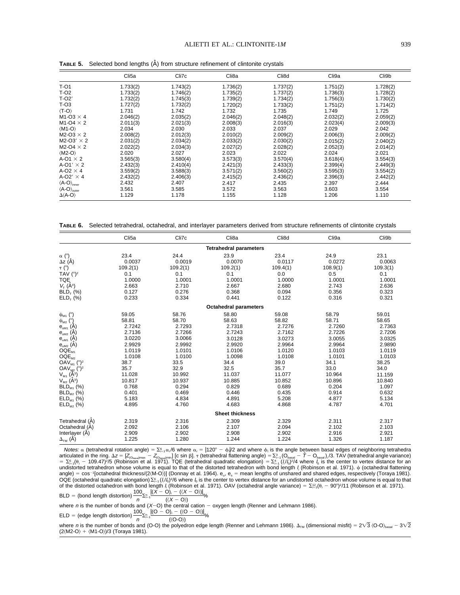|                                           | Cli <sub>5a</sub> | Cli7c    | Cli <sub>8a</sub> | Cli8d    | Cli9a    | Cli9b    |
|-------------------------------------------|-------------------|----------|-------------------|----------|----------|----------|
| T-01                                      | 1.733(2)          | 1.743(2) | 1.736(2)          | 1.737(2) | 1.751(2) | 1.728(2) |
| T-02                                      | 1.733(2)          | 1.746(2) | 1.735(2)          | 1.737(2) | 1.736(3) | 1.728(2) |
| $T-O2'$                                   | 1.732(2)          | 1.745(3) | 1.739(2)          | 1.734(2) | 1.756(3) | 1.730(2) |
| T-03                                      | 1.727(2)          | 1.732(2) | 1.720(2)          | 1.733(2) | 1.751(2) | 1.714(2) |
| $\langle T$ -O $\rangle$                  | 1.731             | 1.742    | 1.732             | 1.735    | 1.749    | 1.725    |
| M <sub>1</sub> -O <sub>3</sub> $\times$ 4 | 2.046(2)          | 2.035(2) | 2.046(2)          | 2.048(2) | 2.032(2) | 2.059(2) |
| M <sub>1</sub> -O <sub>4</sub> $\times$ 2 | 2.011(3)          | 2.021(3) | 2.008(3)          | 2.016(3) | 2.023(4) | 2.009(3) |
| $\langle M1-O \rangle$                    | 2.034             | 2.030    | 2.033             | 2.037    | 2.029    | 2.042    |
| $M2-O3 \times 2$                          | 2.008(2)          | 2.012(3) | 2.010(2)          | 2.009(2) | 2.006(3) | 2.009(2) |
| $M2-O3' \times 2$                         | 2.031(2)          | 2.034(2) | 2.033(2)          | 2.030(2) | 2.015(2) | 2.040(2) |
| M2-O4 $\times$ 2                          | 2.022(2)          | 2.034(3) | 2.027(2)          | 2.028(2) | 2.052(3) | 2.014(2) |
| $\langle M2-O \rangle$                    | 2.020             | 2.027    | 2.023             | 2.022    | 2.024    | 2.021    |
| A-O1 $\times$ 2                           | 3.565(3)          | 3.580(4) | 3.573(3)          | 3.570(4) | 3.618(4) | 3.554(3) |
| A-O1' $\times$ 2                          | 2.432(3)          | 2.410(4) | 2.421(3)          | 2.433(3) | 2.399(4) | 2.449(3) |
| A-O2 $\times$ 4                           | 3.559(2)          | 3.588(3) | 3.571(2)          | 3.560(2) | 3.595(3) | 3.554(2) |
| A-O2' $\times$ 4                          | 2.432(2)          | 2.406(3) | 2.415(2)          | 2.436(2) | 2.396(3) | 2.442(2) |
| $\langle A-O \rangle_{\text{inner}}$      | 2.432             | 2.407    | 2.417             | 2.435    | 2.397    | 2.444    |
| $\langle A-O \rangle$ <sub>outer</sub>    | 3.561             | 3.585    | 3.572             | 3.563    | 3.603    | 3.554    |
| $\Delta$ (A-O)                            | 1.129             | 1.178    | 1.155             | 1.128    | 1.206    | 1.110    |

**TABLE 5.** Selected bond lengths ( $\hat{A}$ ) from structure refinement of clintonite crystals

**TABLE 6.** Selected tetrahedral, octahedral, and interlayer parameters derived from structure refinements of clintonite crystals

|                                                                                                                               | Cli <sub>5a</sub> | Cli7c    | Cli <sub>8a</sub>             | Cli <sub>8d</sub> | Cli9a    | Cli9b    |
|-------------------------------------------------------------------------------------------------------------------------------|-------------------|----------|-------------------------------|-------------------|----------|----------|
|                                                                                                                               |                   |          | <b>Tetrahedral parameters</b> |                   |          |          |
| $\alpha$ (°)                                                                                                                  | 23.4              | 24.4     | 23.9                          | 23.4              | 24.9     | 23.1     |
| $\Delta z$ (Å)                                                                                                                | 0.0037            | 0.0019   | 0.0070                        | 0.0117            | 0.0272   | 0.0063   |
| $\tau$ (°)                                                                                                                    | 109.2(1)          | 109.2(1) | 109.2(1)                      | 109.4(1)          | 108.9(1) | 109.3(1) |
| TAV $(^{\circ})^2$                                                                                                            | 0.1               | 0.1      | 0.1                           | 0.0               | 0.5      | 0.1      |
| <b>TQE</b>                                                                                                                    | 1.0000            | 1.0001   | 1.0001                        | 1.0000            | 1.0001   | 1.0001   |
| $V_T$ (Å <sup>3</sup> )                                                                                                       | 2.663             | 2.710    | 2.667                         | 2.680             | 2.743    | 2.636    |
| $BLDT$ (%)                                                                                                                    | 0.127             | 0.276    | 0.368                         | 0.094             | 0.356    | 0.323    |
| $ELDT$ (%)                                                                                                                    | 0.233             | 0.334    | 0.441                         | 0.122             | 0.316    | 0.321    |
|                                                                                                                               |                   |          | <b>Octahedral parameters</b>  |                   |          |          |
| $\psi_{M1}$ (°)                                                                                                               | 59.05             | 58.76    | 58.80                         | 59.08             | 58.79    | 59.01    |
| $\psi_{M2}$ (°)                                                                                                               | 58.81             | 58.70    | 58.63                         | 58.82             | 58.71    | 58.65    |
| $e_{\rm sM1}$ (A)                                                                                                             | 2.7242            | 2.7293   | 2.7318                        | 2.7276            | 2.7260   | 2.7363   |
| $e_{\text{sm2}}$ (A)                                                                                                          | 2.7136            | 2.7266   | 2.7243                        | 2.7162            | 2.7226   | 2.7206   |
|                                                                                                                               | 3.0220            | 3.0066   | 3.0128                        | 3.0273            | 3.0055   | 3.0325   |
| $\begin{array}{c} \mathsf{e}_\mathsf{uM1} \ (\AA) \\ \mathsf{e}_\mathsf{uM2} \ (\AA) \\ \mathsf{OQE}_\mathsf{M1} \end{array}$ | 2.9929            | 2.9992   | 2.9920                        | 2.9964            | 2.9964   | 2.9890   |
|                                                                                                                               | 1.0119            | 1.0101   | 1.0106                        | 1.0120            | 1.0103   | 1.0119   |
| OQE <sub>M2</sub>                                                                                                             | 1.0108            | 1.0100   | 1.0098                        | 1.0108            | 1.0101   | 1.0103   |
| OAV <sub>M1</sub> $(^{\circ})^2$                                                                                              | 38.7              | 33.5     | 34.4                          | 39.0              | 34.1     | 38.25    |
| OAV <sub>M2</sub> $(^{\circ})^2$                                                                                              | 35.7              | 32.9     | 32.5                          | 35.7              | 33.0     | 34.0     |
| $V_{M1} (\AA^3)$                                                                                                              | 11.028            | 10.992   | 11.037                        | 11.077            | 10.964   | 11.159   |
| $V_{M2} (\AA^3)$                                                                                                              | 10.817            | 10.937   | 10.885                        | 10.852            | 10.896   | 10.840   |
| $BLDM1$ (%)                                                                                                                   | 0.768             | 0.294    | 0.829                         | 0.689             | 0.204    | 1.097    |
| $BLDM2$ (%)                                                                                                                   | 0.401             | 0.469    | 0.446                         | 0.435             | 0.914    | 0.632    |
| $ELD_{M1} (%)$                                                                                                                | 5.183             | 4.834    | 4.891                         | 5.208             | 4.877    | 5.134    |
| $ELD_{M2}$ (%)                                                                                                                | 4.895             | 4.760    | 4.683                         | 4.868             | 4.787    | 4.701    |
|                                                                                                                               |                   |          | <b>Sheet thickness</b>        |                   |          |          |
| Tetrahedral (Å)                                                                                                               | 2.319             | 2.316    | 2.309                         | 2.329             | 2.311    | 2.317    |
| Octahedral (A)                                                                                                                | 2.092             | 2.106    | 2.107                         | 2.094             | 2.102    | 2.103    |
| Interlayer (A)                                                                                                                | 2.909             | 2.902    | 2.908                         | 2.902             | 2.916    | 2.921    |
| $\Delta_{\text{\tiny TM}}$ (Å)                                                                                                | 1.225             | 1.280    | 1.244                         | 1.224             | 1.326    | 1.187    |

*Notes:*  $\alpha$  (tetrahedral rotation angle) =  $\Sigma_{\beta=1}^{\beta} \alpha_i/6$  where  $\alpha_i = |120^{\circ} - \phi_i/2$  and where  $\phi_i$  is the angle between basal edges of neighboring tetrahedra articulated in the ring.  $\Delta z = [Z_{\text{O}_{\text{assall}}}]_{\text{max}} - Z_{$ undistorted tetrahedron whose volume is equal to that of the distorted tetrahedron with bond length / (Robinson et al. 1971).  $\psi$  (octahedral flattening angle) =  $\cos^{-1}$ [octahedral thickness/(2(M-O))] (Donnay et al. 1964).  $e_u$ ,  $e_s$  = mean lengths of unshared and shared edges, respectively (Toraya 1981). OQE (octahedral quadratic elongation)  $\Sigma_{l=1}^6 (l_l/l_0)^2/6$  where  $l_0$  is the center to vertex distance for an undistorted octahedron whose volume is equal to that of the distorted octahedron whose volume is equal to tha

BLD = (bond length distortion) 
$$
\frac{100}{2n} \sum_{i=1}^{n} \frac{1}{(x - 0)_i} \frac{1}{(x - 0)_i}
$$

where n is the number of bonds and  $(X-0)$  the central cation – oxygen length (Renner and Lehmann 1986).

100  $\text{ELD} = \text{(edge length distortion)} \frac{100}{n} \sum_{i=1}^{n} \frac{|(O - O_i) - ((\overline{O} - O))|}{(\overline{O} - O_i)}$ %

where n is the number of bonds and (O-O) the polyedron edge length (Renner and Lehmann 1986).  $\Delta_{TM}$  (dimensional misfit) =  $2\sqrt{3}$  (O-O)<sub>basal</sub> -  $3\sqrt{2}$  $(2\langle M2-O \rangle + \langle M1-O \rangle)/3$  (Toraya 1981).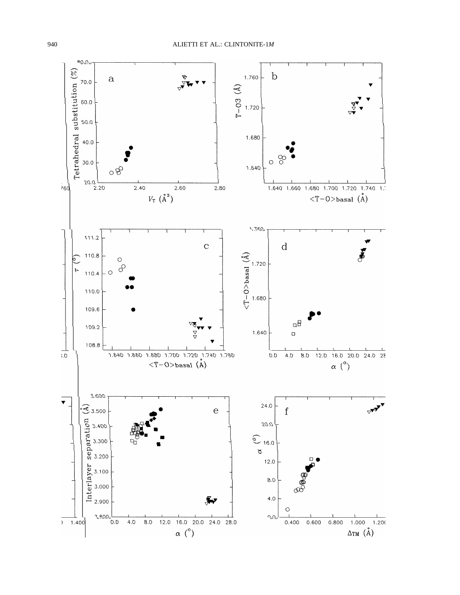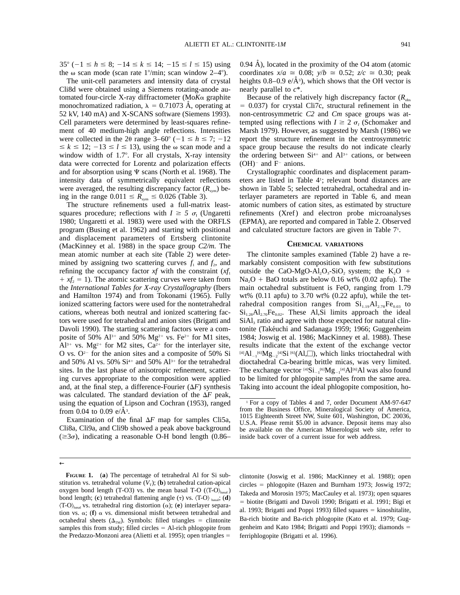$35^{\circ}$  ( $-1 \leq h \leq 8$ ;  $-14 \leq k \leq 14$ ;  $-15 \leq l \leq 15$ ) using the  $\omega$  scan mode (scan rate 1°/min; scan window 2–4°).

The unit-cell parameters and intensity data of crystal Cli8d were obtained using a Siemens rotating-anode automated four-circle X-ray diffractometer (Mo*K*a graphite monochromatized radiation,  $\lambda = 0.71073$  Å, operating at 52 kV, 140 mA) and X-SCANS software (Siemens 1993). Cell parameters were determined by least-squares refinement of 40 medium-high angle reflections. Intensities were collected in the 20 range  $3-60^{\circ}$  ( $-1 \leq h \leq 7$ ;  $-12$  $\leq k \leq 12$ ;  $-13 \leq l \leq 13$ ), using the  $\omega$  scan mode and a window width of  $1.7^\circ$ . For all crystals, X-ray intensity data were corrected for Lorentz and polarization effects and for absorption using  $\Psi$  scans (North et al. 1968). The intensity data of symmetrically equivalent reflections were averaged, the resulting discrepancy factor  $(R_{\rm sym})$  being in the range  $0.011 \le R_{sym} \le 0.026$  (Table 3).

The structure refinements used a full-matrix leastsquares procedure; reflections with  $I \geq 5$   $\sigma_{I}$  (Ungaretti 1980; Ungaretti et al. 1983) were used with the ORFLS program (Busing et al. 1962) and starting with positional and displacement parameters of Ertsberg clintonite (MacKinney et al. 1988) in the space group *C2/m.* The mean atomic number at each site (Table 2) were determined by assigning two scattering curves  $f_1$  and  $f_2$ , and refining the occupancy factor  $xf$  with the constraint  $(xf_1)$  $+xf<sub>2</sub> = 1$ ). The atomic scattering curves were taken from the *International Tables for X-ray Crystallography* (Ibers and Hamilton 1974) and from Tokonami (1965). Fully ionized scattering factors were used for the nontetrahedral cations, whereas both neutral and ionized scattering factors were used for tetrahedral and anion sites (Brigatti and Davoli 1990). The starting scattering factors were a composite of 50%  $Al^{3+}$  and 50%  $Mg^{2+}$  vs. Fe<sup>2+</sup> for M1 sites,  $Al^{3+}$  vs.  $Mg^{2+}$  for M2 sites,  $Ca^{2+}$  for the interlayer site, O vs.  $O^{2-}$  for the anion sites and a composite of 50% Si and 50% Al vs. 50%  $Si^{4+}$  and 50% Al<sup>3+</sup> for the tetrahedral sites. In the last phase of anisotropic refinement, scattering curves appropriate to the composition were applied and, at the final step, a difference-Fourier  $(\Delta F)$  synthesis was calculated. The standard deviation of the  $\Delta F$  peak, using the equation of Lipson and Cochran (1953), ranged from 0.04 to 0.09  $e/\AA$ <sup>3</sup>.

Examination of the final  $\Delta F$  map for samples Cli5a, Cli8a, Cli9a, and Cli9b showed a peak above background  $(\geq 3\sigma)$ , indicating a reasonable O-H bond length (0.86–

←

 $0.94$  Å), located in the proximity of the O4 atom (atomic coordinates  $x/a \approx 0.08$ ;  $y/b \approx 0.52$ ;  $z/c \approx 0.30$ ; peak heights  $0.8-0.9$  e/ $\AA$ <sup>3</sup>), which shows that the OH vector is nearly parallel to *c*\*.

Because of the relatively high discrepancy factor  $(R_{obs})$  $= 0.037$ ) for crystal Cli7c, structural refinement in the non-centrosymmetric *C2* and *Cm* space groups was attempted using reflections with  $I \geq 2 \sigma$  (Schomaker and Marsh 1979). However, as suggested by Marsh (1986) we report the structure refinement in the centrosymmetric space group because the results do not indicate clearly the ordering between  $Si^{4+}$  and  $Al^{3+}$  cations, or between  $(OH)^-$  and  $F^-$  anions.

Crystallographic coordinates and displacement parameters are listed in Table 41 ; relevant bond distances are shown in Table 5; selected tetrahedral, octahedral and interlayer parameters are reported in Table 6, and mean atomic numbers of cation sites, as estimated by structure refinements (Xref) and electron probe microanalyses (EPMA), are reported and compared in Table 2. Observed and calculated structure factors are given in Table 7<sup>1</sup>.

### **CHEMICAL VARIATIONS**

The clintonite samples examined (Table 2) have a remarkably consistent composition with few substitutions outside the CaO-MgO-Al<sub>2</sub>O<sub>3</sub>-SiO<sub>2</sub> system; the K<sub>2</sub>O +  $Na<sub>2</sub>O + BaO$  totals are below 0.16 wt% (0.02 apfu). The main octahedral substituent is FeO, ranging from 1.79 wt% (0.11 apfu) to 3.70 wt% (0.22 apfu), while the tetrahedral composition ranges from  $Si<sub>1,19</sub>Al<sub>2.78</sub>Fe<sub>0.03</sub>$  to  $Si<sub>1.28</sub>Al<sub>2.70</sub>Fe<sub>0.02</sub>$ . These Al, Si limits approach the ideal  $SiAl<sub>3</sub>$  ratio and agree with those expected for natural clintonite (Takéuchi and Sadanaga 1959; 1966; Guggenheim 1984; Joswig et al. 1986; MacKinney et al. 1988). These results indicate that the extent of the exchange vector  $[4]$ Al<sub>-1</sub><sup>[6]</sup>Mg<sub>-2</sub><sup>[4]</sup>Si<sup>[6]</sup>(Al, $\Box$ ), which links trioctahedral with dioctahedral Ca-bearing brittle micas, was very limited. The exchange vector  $^{[4]}Si_{-1}^{[6]}Mg_{-1}^{[4]}Al^{[6]}Al$  was also found to be limited for phlogopite samples from the same area. Taking into account the ideal phlogopite composition, ho-

clintonite (Joswig et al. 1986; MacKinney et al. 1988); open circles 5 phlogopite (Hazen and Burnham 1973; Joswig 1972; Takeda and Morosin 1975; MacCauley et al. 1973); open squares 5 biotite (Brigatti and Davoli 1990; Brigatti et al. 1991; Bigi et al. 1993; Brigatti and Poppi 1993) filled squares  $=$  kinoshitalite, Ba-rich biotite and Ba-rich phlogopite (Kato et al. 1979; Guggenheim and Kato 1984; Brigatti and Poppi 1993); diamonds  $=$ ferriphlogopite (Brigatti et al. 1996).

<sup>1</sup> For a copy of Tables 4 and 7, order Document AM-97-647 from the Business Office, Mineralogical Society of America, 1015 Eighteenth Street NW, Suite 601, Washington, DC 20036, U.S.A. Please remit \$5.00 in advance. Deposit items may also be available on the American Minerologist web site, refer to inside back cover of a current issue for web address.

**FIGURE 1.** (**a**) The percentage of tetrahedral Al for Si substitution vs. tetrahedral volume  $(V_T)$ ; (**b**) tetrahedral cation-apical oxygen bond length (T-O3) vs. the mean basal T-O ( $\langle T-O \rangle_{\text{basal}}$ ) bond length; (c) tetrahedral flattening angle  $(\tau)$  vs.  $\langle T-O \rangle$  basal; (**d**)  $\langle T-O \rangle_{\text{base}}$  vs. tetrahedral ring distortion ( $\alpha$ ); (**e**) interlayer separation vs.  $\alpha$ ; (**f**)  $\alpha$  vs. dimensional misfit between tetrahedral and octahedral sheets ( $\Delta_{TM}$ ). Symbols: filled triangles = clintonite samples this from study; filled circles = Al-rich phlogopite from the Predazzo-Monzoni area (Alietti et al. 1995); open triangles  $=$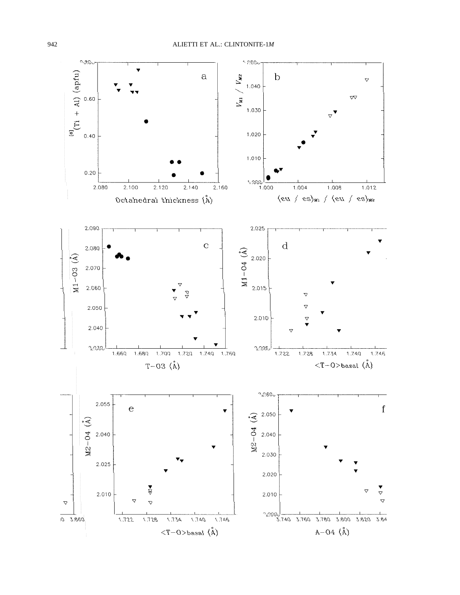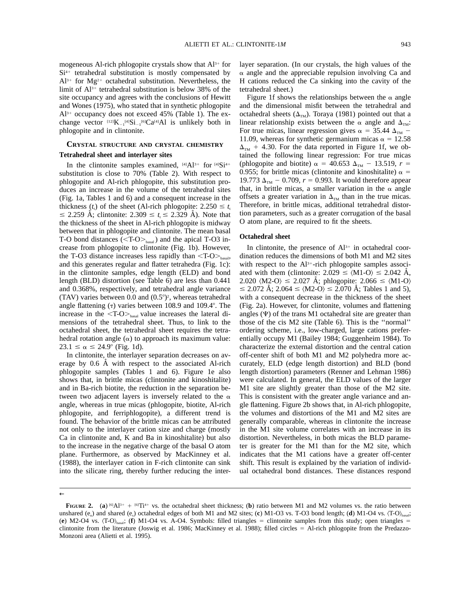mogeneous Al-rich phlogopite crystals show that  $Al^{3+}$  for  $Si<sup>4+</sup> tetrahedral substitution is mostly compensated by$  $Al^{3+}$  for  $Mg^{2+}$  octahedral substitution. Nevertheless, the limit of  $Al^{3+}$  tetrahedral substitution is below 38% of the site occupancy and agrees with the conclusions of Hewitt and Wones (1975), who stated that in synthetic phlogopite  $Al^{3+}$  occupancy does not exceed 45% (Table 1). The exchange vector  $[12]K_{-1}^{[4]}Si_{-1}^{[6]}Ca^{[4]}Al$  is unlikely both in phlogopite and in clintonite.

# **CRYSTAL STRUCTURE AND CRYSTAL CHEMISTRY Tetrahedral sheet and interlayer sites**

In the clintonite samples examined,  $[4]A^{3+}$  for  $[4]Si^{4+}$ substitution is close to 70% (Table 2). With respect to phlogopite and Al-rich phlogopite, this substitution produces an increase in the volume of the tetrahedral sites (Fig. 1a, Tables 1 and 6) and a consequent increase in the thickness  $(t_i)$  of the sheet (Al-rich phlogopite: 2.250  $\leq t_i$  $\leq$  2.259 Å; clintonite: 2.309  $\leq t_1 \leq$  2.329 Å). Note that the thickness of the sheet in Al-rich phlogopite is midway between that in phlogopite and clintonite. The mean basal T-O bond distances ( $\langle T-O \rangle$ <sub>basal</sub>) and the apical T-O3 increase from phlogopite to clintonite (Fig. 1b). However, the T-O3 distance increases less rapidly than  $\langle$ T-O $>_{\text{basal}}$ , and this generates regular and flatter tetrahedra (Fig. 1c): in the clintonite samples, edge length (ELD) and bond length (BLD) distortion (see Table 6) are less than 0.441 and 0.368%, respectively, and tetrahedral angle variance (TAV) varies between 0.0 and  $(0.5^{\circ})^2$ , whereas tetrahedral angle flattening  $(τ)$  varies between 108.9 and 109.4°. The increase in the  $\langle T-O \rangle$ <sub>basal</sub> value increases the lateral dimensions of the tetrahedral sheet. Thus, to link to the octahedral sheet, the tetrahedral sheet requires the tetrahedral rotation angle  $(\alpha)$  to approach its maximum value:  $23.1 \le \alpha \le 24.9^{\circ}$  (Fig. 1d).

In clintonite, the interlayer separation decreases on average by 0.6 Å with respect to the associated Al-rich phlogopite samples (Tables 1 and 6). Figure 1e also shows that, in brittle micas (clintonite and kinoshitalite) and in Ba-rich biotite, the reduction in the separation between two adjacent layers is inversely related to the  $\alpha$ angle, whereas in true micas (phlogopite, biotite, Al-rich phlogopite, and ferriphlogopite), a different trend is found. The behavior of the brittle micas can be attributed not only to the interlayer cation size and charge (mostly Ca in clintonite and, K and Ba in kinoshitalite) but also to the increase in the negative charge of the basal O atom plane. Furthermore, as observed by MacKinney et al. (1988), the interlayer cation in F-rich clintonite can sink into the silicate ring, thereby further reducing the inter-

 $\leftarrow$ 

layer separation. (In our crystals, the high values of the  $\alpha$  angle and the appreciable repulsion involving Ca and H cations reduced the Ca sinking into the cavity of the tetrahedral sheet.)

Figure 1f shows the relationships between the  $\alpha$  angle and the dimensional misfit between the tetrahedral and octahedral sheets  $(\Delta_{TM})$ . Toraya (1981) pointed out that a linear relationship exists between the  $\alpha$  angle and  $\Delta_{\text{TM}}$ : For true micas, linear regression gives  $\alpha = 35.44 \Delta_{TM}$ 11.09, whereas for synthetic germanium micas  $\alpha = 12.58$  $\Delta_{TM}$  + 4.30. For the data reported in Figure 1f, we obtained the following linear regression: For true micas (phlogopite and biotite)  $\alpha = 40.653 \Delta_{TM} - 13.519$ ,  $r =$ 0.955; for brittle micas (clintonite and kinoshitalite)  $\alpha =$ 19.773  $\Delta_{\text{TM}}$  – 0.709,  $r = 0.993$ . It would therefore appear that, in brittle micas, a smaller variation in the  $\alpha$  angle offsets a greater variation in  $\Delta_{TM}$  than in the true micas. Therefore, in brittle micas, additional tetrahedral distortion parameters, such as a greater corrugation of the basal O atom plane, are required to fit the sheets.

# **Octahedral sheet**

In clintonite, the presence of  $Al^{3+}$  in octahedral coordination reduces the dimensions of both M1 and M2 sites with respect to the  $Al^{3+}$ -rich phlogopite samples associated with them (clintonite:  $2.029 \leq \langle M1-O \rangle \leq 2.042$  Å, 2.020  $\langle M2-O \rangle \le 2.027$  Å; phlogopite: 2.066  $\le \langle M1-O \rangle$  $\leq$  2.072 Å; 2.064  $\leq$  (M2-O)  $\leq$  2.070 Å; Tables 1 and 5), with a consequent decrease in the thickness of the sheet (Fig. 2a). However, for clintonite, volumes and flattening angles  $(\Psi)$  of the trans M1 octahedral site are greater than those of the cis M2 site (Table 6). This is the ''normal'' ordering scheme, i.e., low-charged, large cations preferentially occupy M1 (Bailey 1984; Guggenheim 1984). To characterize the external distortion and the central cation off-center shift of both M1 and M2 polyhedra more accurately, ELD (edge length distortion) and BLD (bond length distortion) parameters (Renner and Lehman 1986) were calculated. In general, the ELD values of the larger M1 site are slightly greater than those of the M2 site. This is consistent with the greater angle variance and angle flattening. Figure 2b shows that, in Al-rich phlogopite, the volumes and distortions of the M1 and M2 sites are generally comparable, whereas in clintonite the increase in the M1 site volume correlates with an increase in its distortion. Nevertheless, in both micas the BLD parameter is greater for the M1 than for the M2 site, which indicates that the M1 cations have a greater off-center shift. This result is explained by the variation of individual octahedral bond distances. These distances respond

**FIGURE** 2. (a)  ${}^{[6]}A^{13+} + {}^{[6]}T_1^{4+}$  vs. the octahedral sheet thickness; (b) ratio between M1 and M2 volumes vs. the ratio between unshared (e<sub>u</sub>) and shared (e<sub>u</sub>) octahedral edges of both M1 and M2 sites; (**c**) M1-O3 vs. T-O3 bond length; (**d**) M1-O4 vs.  $\langle T-O \rangle_{\text{best}}$ ; (**e**) M2-O4 vs.  $\langle T-O \rangle_{\text{basal}}$ ; (**f**) M1-O4 vs. A-O4. Symbols: filled triangles = clintonite samples from this study; open triangles = clintonite from the literature (Joswig et al. 1986; MacKinney et al. 1988); filled circles = Al-rich phlogopite from the Predazzo-Monzoni area (Alietti et al. 1995).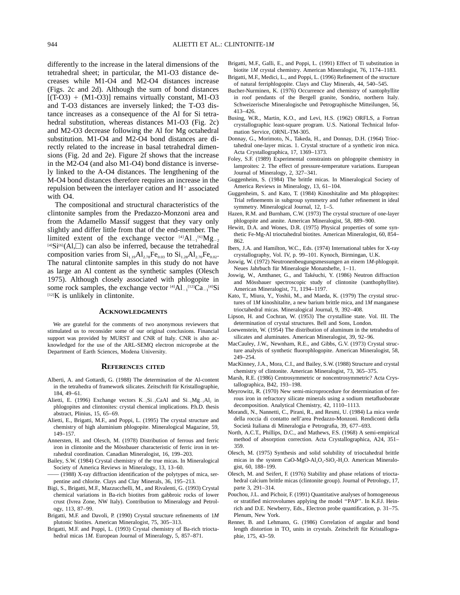differently to the increase in the lateral dimensions of the tetrahedral sheet; in particular, the M1-O3 distance decreases while M1-O4 and M2-O4 distances increase (Figs. 2c and 2d). Although the sum of bond distances  $[(T-O3) + (M1-O3)]$  remains virtually constant, M1-O3 and T-O3 distances are inversely linked; the T-O3 distance increases as a consequence of the Al for Si tetrahedral substitution, whereas distances M1-O3 (Fig. 2c) and M2-O3 decrease following the Al for Mg octahedral substitution. M1-O4 and M2-O4 bond distances are directly related to the increase in basal tetrahedral dimensions (Fig. 2d and 2e). Figure 2f shows that the increase in the M2-O4 (and also M1-O4) bond distance is inversely linked to the A-O4 distances. The lengthening of the M-O4 bond distances therefore requires an increase in the repulsion between the interlayer cation and  $H<sup>+</sup>$  associated with O4.

The compositional and structural characteristics of the clintonite samples from the Predazzo-Monzoni area and from the Adamello Massif suggest that they vary only slightly and differ little from that of the end-member. The limited extent of the exchange vector  $^{[4]}Al_{-1}^{[6]}Mg_{-2}$  $[4]$ Si $[6]$ (Al, $\Box$ ) can also be inferred, because the tetrahedral composition varies from  $Si<sub>1.19</sub>Al<sub>2.78</sub>Fe<sub>0.03</sub>$  to  $Si<sub>1.28</sub>Al<sub>2.70</sub>Fe<sub>0.02</sub>$ . The natural clintonite samples in this study do not have as large an Al content as the synthetic samples (Olesch 1975). Although closely associated with phlogopite in some rock samples, the exchange vector  $^{[4]}Al_{-1}^{[12]}Ca_{-1}^{[4]}Si$  $[12]K$  is unlikely in clintonite.

#### **ACKNOWLEDGMENTS**

We are grateful for the comments of two anonymous reviewers that stimulated us to reconsider some of our original conclusions. Financial support was provided by MURST and CNR of Italy. CNR is also acknowledged for the use of the ARL-SEMQ electron microprobe at the Department of Earth Sciences, Modena University.

#### **REFERENCES CITED**

- Alberti, A. and Gottardi, G. (1988) The determination of the Al-content in the tetrahedra of framework silicates. Zeitschrift für Kristallographie, 184, 49–61.
- Alietti, E. (1996) Exchange vectors  $K_{-1}Si_{-1}CaAl$  and  $Si_{-1}Mg_{-1}Al_2$  in phlogopites and clintonites: crystal chemical implications. P.h.D. thesis abstract, Plinius, 15, 65–69.
- Alietti, E., Brigatti, M.F., and Poppi, L. (1995) The crystal structure and chemistry of high aluminium phlogopite. Mineralogical Magazine, 59, 149–157.
- Annersten, H. and Olesch, M. (1978) Distribution of ferrous and ferric iron in clintonite and the Mössbauer characteristic of ferric iron in tetrahedral coordination. Canadian Mineralogist, 16, 199–203.
- Bailey, S.W. (1984) Crystal chemistry of the true micas. In Mineralogical Society of America Reviews in Mineralogy, 13, 13–60.
- $-$  (1988) X-ray diffraction identification of the polytypes of mica, serpentine and chlorite. Clays and Clay Minerals, 36, 195–213.
- Bigi, S., Brigatti, M.F., Mazzucchelli, M., and Rivalenti, G. (1993) Crystal chemical variations in Ba-rich biotites from gabbroic rocks of lower crust (Ivrea Zone, NW Italy). Contribution to Mineralogy and Petrology, 113, 87–99.
- Brigatti, M.F. and Davoli, P. (1990) Crystal structure refinements of 1*M* plutonic biotites. American Mineralogist, 75, 305–313.
- Brigatti, M.F. and Poppi, L. (1993) Crystal chemistry of Ba-rich trioctahedral micas 1*M.* European Journal of Mineralogy, 5, 857–871.
- Brigatti, M.F., Galli, E., and Poppi, L. (1991) Effect of Ti substitution in biotite 1*M* crystal chemistry. American Mineralogist, 76, 1174–1183.
- Brigatti, M.F., Medici, L., and Poppi, L. (1996) Refinement of the structure of natural ferriphlogopite. Clays and Clay Minerals, 44, 540–545.
- Bucher-Nurminen, K. (1976) Occurrence and chemistry of xantophyllite in roof pendants of the Bergell granite, Sondrio, northern Italy. Schweizerische Mineralogische und Petrographische Mitteilungen, 56, 413–426.
- Busing, W.R., Martin, K.O., and Levi, H.S. (1962) ORFLS, a Fortran crystallographic least-square program. U.S. National Technical Information Service, ORNL-TM-305.
- Donnay, G., Morimoto, N., Takeda, H., and Donnay, D.H. (1964) Trioctahedral one-layer micas. 1. Crystal structure of a synthetic iron mica. Acta Crystallographica, 17, 1369–1373.
- Foley, S.F. (1989) Experimental constraints on phlogopite chemistry in lamproites: 2. The effect of pressure-temperature variations. European Journal of Mineralogy, 2, 327–341.
- Guggenheim, S. (1984) The brittle micas. In Mineralogical Society of America Reviews in Mineralogy, 13, 61–104.
- Guggenheim, S. and Kato, T. (1984) Kinoshitalite and Mn phlogopites: Trial refinements in subgroup symmetry and futher refinement in ideal symmetry. Mineralogical Journal, 12, 1–5.
- Hazen, R.M. and Burnham, C.W. (1973) The crystal structure of one-layer phlogopite and annite. American Mineralogist, 58, 889–900.
- Hewitt, D.A. and Wones, D.R. (1975) Physical properties of some synthetic Fe-Mg-Al trioctahedral biotites. American Mineralogist, 60, 854– 862.
- Ibers, J.A. and Hamilton, W.C., Eds. (1974) International tables for X-ray crystallography, Vol. IV, p. 99–101. Kynoch, Birmingan, U.K.
- Joswig, W. (1972) Neutronenbeugungsmessungen an einem 1*M-*phlogopit. Neues Jahrbuch für Mineralogie Monatshefte, 1-11.
- Joswig, W., Amthaner, G., and Takéuchi, Y. (1986) Neutron diffraction and Mössbauer spectroscopic study of clintonite (xanthophyllite). American Mineralogist, 71, 1194–1197.
- Kato, T., Miura, Y., Yoshii, M., and Maeda, K. (1979) The crystal structures of 1*M* kinoshitalite, a new barium brittle mica, and 1*M* manganese trioctahedral micas. Mineralogical Journal, 9, 392–408.
- Lipson, H. and Cochran, W. (1953) The crystalline state. Vol. III. The determination of crystal structures. Bell and Sons, London.
- Loewenstein, W. (1954) The distribution of aluminum in the tetrahedra of silicates and aluminates. American Mineralogist, 39, 92–96.
- MacCauley, J.W., Newnham, R.E., and Gibbs, G.V. (1973) Crystal structure analysis of synthetic fluorophlogopite. American Mineralogist, 58, 249–254.
- MacKinney, J.A., Mora, C.I., and Bailey, S.W. (1988) Structure and crystal chemistry of clintonite. American Mineralogist, 73, 365–375.
- Marsh, R.E. (1986) Centrosymmetric or noncentrosymmetric? Acta Crystallographica, B42, 193–198.
- Meyrowitz, R. (1970) New semi-microprocedure for determination of ferrous iron in refractory silicate minerals using a sodium metafluoborate decomposition. Analytical Chemistry, 42, 1110–1113.
- Morandi, N., Nannetti, C., Pirani, R., and Resmi, U. (1984) La mica verde della roccia di contatto nell'area Predazzo-Monzoni. Rendiconti della Societa` Italiana di Mineralogia e Petrografia, 39, 677–693.
- North, A.C.T., Phillips, D.C., and Mathews, F.S. (1968) A semi-empirical method of absorption correction. Acta Crystallographica, A24, 351– 359.
- Olesch, M. (1975) Synthesis and solid solubility of trioctahedral brittle micas in the system CaO-MgO-Al<sub>2</sub>O<sub>3</sub>-SiO<sub>2</sub>-H<sub>2</sub>O. American Mineralogist, 60, 188–199.
- Olesch, M. and Seifert, F. (1976) Stability and phase relations of trioctahedral calcium brittle micas (clintonite group). Journal of Petrology, 17, parte 3, 291–314.
- Pouchou, J.L. and Pichoir, F. (1991) Quantitative analyses of homogeneous or stratified microvolumes applying the model ''PAP''. In K.F.J. Heinrich and D.E. Newberry, Eds., Electron probe quantification, p. 31–75. Plenum, New York.
- Renner, B. and Lehmann, G. (1986) Correlation of angular and bond length distortion in TO<sub>4</sub> units in crystals. Zeitschrift für Kristallographie, 175, 43–59.